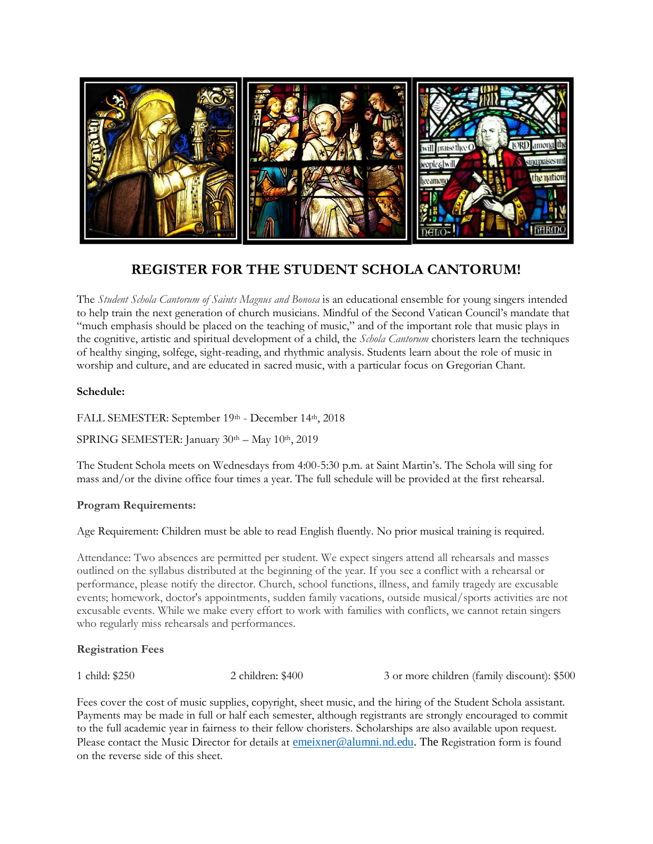

## **REGISTER FOR THE STUDENT SCHOLA CANTORUM!**

The *Student Schola Cantorum of Saints Magnus and Bonosa* is an educational ensemble for young singers intended to help train the next generation of church musicians. Mindful of the Second Vatican Council's mandate that "much emphasis should be placed on the teaching of music," and of the important role that music plays in the cognitive, artistic and spiritual development of a child, the *Schola Cantorum* choristers learn the techniques of healthy singing, solfege, sight-reading, and rhythmic analysis. Students learn about the role of music in worship and culture, and are educated in sacred music, with a particular focus on Gregorian Chant.

#### **Schedule:**

FALL SEMESTER: September 19th - December 14th, 2018

SPRING SEMESTER: January 30th - May 10th, 2019

The Student Schola meets on Wednesdays from 4:00-5:30 p.m. at Saint Martin's. The Schola will sing for mass and/or the divine office four times a year. The full schedule will be provided at the first rehearsal.

#### **Program Requirements:**

Age Requirement: Children must be able to read English fluently. No prior musical training is required.

Attendance: Two absences are permitted per student. We expect singers attend all rehearsals and masses outlined on the syllabus distributed at the beginning of the year. If you see a conflict with a rehearsal or performance, please notify the director. Church, school functions, illness, and family tragedy are excusable events; homework, doctor's appointments, sudden family vacations, outside musical/sports activities are not excusable events. While we make every effort to work with families with conflicts, we cannot retain singers who regularly miss rehearsals and performances.

#### **Registration Fees**

1 child: \$250 2 children: \$400 3 or more children (family discount): \$500

Fees cover the cost of music supplies, copyright, sheet music, and the hiring of the Student Schola assistant. Payments may be made in full or half each semester, although registrants are strongly encouraged to commit to the full academic year in fairness to their fellow choristers. Scholarships are also available upon request. Please contact the Music Director for details at [emeixner@alumni.nd.edu.](mailto:emeixner@alumni.nd.edu) The Registration form is found on the reverse side of this sheet.